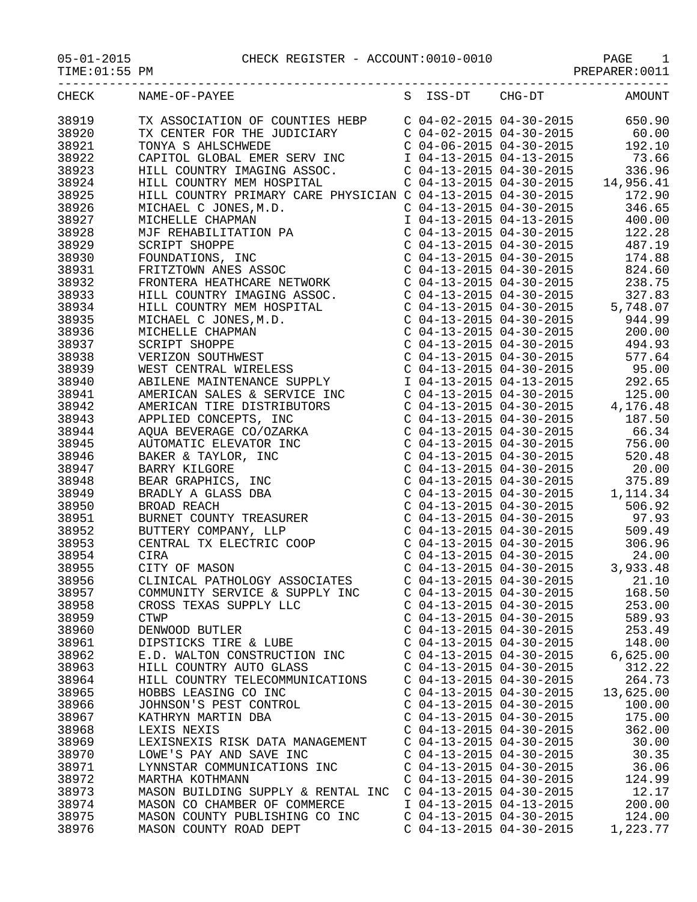05-01-2015 CHECK REGISTER - ACCOUNT:0010-0010 PAGE 1

PAGE 1<br>PREPARER:0011

| $05 - 01 - 2015$ |
|------------------|
|------------------|

-----------------------------------------------------------------------------------

| CHECK | NAME-OF-PAYEE                                                                                                                                                                                                                                                                           | S | ISS-DT                    | CHG-DT                                                                           | AMOUNT                                                                                                                                                                                                                                                                        |
|-------|-----------------------------------------------------------------------------------------------------------------------------------------------------------------------------------------------------------------------------------------------------------------------------------------|---|---------------------------|----------------------------------------------------------------------------------|-------------------------------------------------------------------------------------------------------------------------------------------------------------------------------------------------------------------------------------------------------------------------------|
| 38919 | TX ASSOCIATION OF COUNTIES HEBP                                                                                                                                                                                                                                                         |   |                           |                                                                                  | $C$ 04-02-2015 04-30-2015 650.90                                                                                                                                                                                                                                              |
| 38920 | TX CENTER FOR THE JUDICIARY                                                                                                                                                                                                                                                             |   |                           |                                                                                  |                                                                                                                                                                                                                                                                               |
| 38921 | TONYA S AHLSCHWEDE                                                                                                                                                                                                                                                                      |   |                           |                                                                                  | $\left( \begin{array}{ccc} C & 04-02-2015 & 04-30-2015 & 60.00 \\ C & 04-06-2015 & 04-30-2015 & 192.10 \\ I & 04-13-2015 & 04-13-2015 & 73.66 \end{array} \right)$                                                                                                            |
| 38922 | TONYA S AHLSCHWEDE<br>CAPITOL GLOBAL EMER SERV INC                                                                                                                                                                                                                                      |   |                           |                                                                                  |                                                                                                                                                                                                                                                                               |
| 38923 | HILL COUNTRY IMAGING ASSOC.                                                                                                                                                                                                                                                             |   |                           | $C$ 04-13-2015 04-30-2015                                                        | 336.96                                                                                                                                                                                                                                                                        |
| 38924 | HILL COUNTRY MEM HOSPITAL                                                                                                                                                                                                                                                               |   |                           |                                                                                  | $C$ 04-13-2015 04-30-2015 14,956.41                                                                                                                                                                                                                                           |
| 38925 | HILL COUNTRY PRIMARY CARE PHYSICIAN C 04-13-2015 04-30-2015                                                                                                                                                                                                                             |   |                           |                                                                                  | 172.90                                                                                                                                                                                                                                                                        |
| 38926 |                                                                                                                                                                                                                                                                                         |   |                           |                                                                                  | 346.65                                                                                                                                                                                                                                                                        |
| 38927 |                                                                                                                                                                                                                                                                                         |   |                           | C 04-13-2015 04-30-2015<br>I 04-13-2015 04-13-2015                               | 400.00                                                                                                                                                                                                                                                                        |
| 38928 |                                                                                                                                                                                                                                                                                         |   |                           | $C$ 04-13-2015 04-30-2015                                                        | 122.28                                                                                                                                                                                                                                                                        |
| 38929 |                                                                                                                                                                                                                                                                                         |   |                           | $C$ 04-13-2015 04-30-2015                                                        | 487.19                                                                                                                                                                                                                                                                        |
| 38930 |                                                                                                                                                                                                                                                                                         |   |                           | $C$ 04-13-2015 04-30-2015                                                        | 174.88                                                                                                                                                                                                                                                                        |
| 38931 |                                                                                                                                                                                                                                                                                         |   |                           | $C$ 04-13-2015 04-30-2015                                                        | 824.60                                                                                                                                                                                                                                                                        |
| 38932 |                                                                                                                                                                                                                                                                                         |   |                           |                                                                                  | 238.75                                                                                                                                                                                                                                                                        |
| 38933 |                                                                                                                                                                                                                                                                                         |   |                           |                                                                                  | 327.83                                                                                                                                                                                                                                                                        |
| 38934 |                                                                                                                                                                                                                                                                                         |   |                           | C 04-13-2015 04-30-2015<br>C 04-13-2015 04-30-2015<br>C 04-13-2015 04-30-2015 5, | 5,748.07                                                                                                                                                                                                                                                                      |
| 38935 |                                                                                                                                                                                                                                                                                         |   |                           | $C$ 04-13-2015 04-30-2015                                                        | 944.99                                                                                                                                                                                                                                                                        |
| 38936 |                                                                                                                                                                                                                                                                                         |   |                           | $C$ 04-13-2015 04-30-2015                                                        | 200.00                                                                                                                                                                                                                                                                        |
| 38937 |                                                                                                                                                                                                                                                                                         |   |                           |                                                                                  |                                                                                                                                                                                                                                                                               |
| 38938 |                                                                                                                                                                                                                                                                                         |   |                           |                                                                                  |                                                                                                                                                                                                                                                                               |
| 38939 |                                                                                                                                                                                                                                                                                         |   |                           |                                                                                  | $\begin{array}{cccc} \text{C} & 04\text{--}13\text{--}2015 & 04\text{--}30\text{--}2015 & 494.93 \\ \text{C} & 04\text{--}13\text{--}2015 & 04\text{--}30\text{--}2015 & 577.64 \\ \text{C} & 04\text{--}13\text{--}2015 & 04\text{--}30\text{--}2015 & 95.00 \end{array}$    |
| 38940 | HILL COUNTRY PRIMARY CARE PHYSICIAN<br>MICHAEL C JONES, M.D.<br>MICHELLE CHAPMAN<br>MJF REHABILITATION PA<br>SCRIPT SHOPPE<br>FOUNDATIONS, INC<br>FRITZTOWN ANES ASSOC<br>FRONTERA HEATHCARE NETWORK<br>HILL COUNTRY IMAGING ASSOC.<br>HILL COUNTRY MEM H<br>ABILENE MAINTENANCE SUPPLY |   |                           |                                                                                  | I 04-13-2015 04-13-2015 292.65                                                                                                                                                                                                                                                |
| 38941 | AMERICAN SALES & SERVICE INC                                                                                                                                                                                                                                                            |   |                           | $C$ 04-13-2015 04-30-2015                                                        | 125.00                                                                                                                                                                                                                                                                        |
| 38942 | AMERICAN TIRE DISTRIBUTORS                                                                                                                                                                                                                                                              |   |                           | $C$ 04-13-2015 04-30-2015                                                        | 4,176.48                                                                                                                                                                                                                                                                      |
| 38943 |                                                                                                                                                                                                                                                                                         |   |                           |                                                                                  | 187.50                                                                                                                                                                                                                                                                        |
| 38944 |                                                                                                                                                                                                                                                                                         |   |                           | C 04-13-2015 04-30-2015<br>C 04-13-2015 04-30-2015                               | 66.34                                                                                                                                                                                                                                                                         |
| 38945 |                                                                                                                                                                                                                                                                                         |   |                           |                                                                                  | $C$ 04-13-2015 04-30-2015 756.00                                                                                                                                                                                                                                              |
| 38946 |                                                                                                                                                                                                                                                                                         |   |                           | $C$ 04-13-2015 04-30-2015                                                        | 520.48                                                                                                                                                                                                                                                                        |
| 38947 |                                                                                                                                                                                                                                                                                         |   |                           |                                                                                  | $C$ 04-13-2015 04-30-2015 20.00                                                                                                                                                                                                                                               |
| 38948 |                                                                                                                                                                                                                                                                                         |   |                           |                                                                                  |                                                                                                                                                                                                                                                                               |
| 38949 |                                                                                                                                                                                                                                                                                         |   |                           |                                                                                  |                                                                                                                                                                                                                                                                               |
| 38950 |                                                                                                                                                                                                                                                                                         |   |                           |                                                                                  | $\begin{array}{cccc} \text{C} & 04\text{--}13\text{--}2015 & 04\text{--}30\text{--}2015 & 375.89 \\ \text{C} & 04\text{--}13\text{--}2015 & 04\text{--}30\text{--}2015 & 1,114.34 \\ \text{C} & 04\text{--}13\text{--}2015 & 04\text{--}30\text{--}2015 & 506.92 \end{array}$ |
| 38951 |                                                                                                                                                                                                                                                                                         |   |                           |                                                                                  | $C$ 04-13-2015 04-30-2015 97.93                                                                                                                                                                                                                                               |
| 38952 | AMERICAN TIRE DISTRIBUTORS<br>APPLIED CONCEPTS, INC<br>AQUA BEVERAGE CO/OZARKA<br>AUTOMATIC ELEVATOR INC<br>BAKER & TAYLOR, INC<br>BARRY KILGORE<br>BEAR GRAPHICS, INC<br>BRADLY A GLASS DBA<br>BROAD REACH<br>BURNET COUNTY TREASURER<br>BUTTERY COMPANY, L                            |   |                           | $C$ 04-13-2015 04-30-2015                                                        | 509.49                                                                                                                                                                                                                                                                        |
| 38953 | CENTRAL TX ELECTRIC COOP                                                                                                                                                                                                                                                                |   |                           | $C$ 04-13-2015 04-30-2015                                                        | 306.96                                                                                                                                                                                                                                                                        |
| 38954 |                                                                                                                                                                                                                                                                                         |   |                           |                                                                                  | 24.00                                                                                                                                                                                                                                                                         |
| 38955 | CIRA<br>CITY OF MASON CITY OF MASON<br>CLINICAL PATHOLOGY ASSOCIATES C 04-13-2015 04-30-2015 3,9                                                                                                                                                                                        |   |                           |                                                                                  | 3,933.48                                                                                                                                                                                                                                                                      |
| 38956 |                                                                                                                                                                                                                                                                                         |   |                           |                                                                                  | 21.10                                                                                                                                                                                                                                                                         |
| 38957 | COMMUNITY SERVICE & SUPPLY INC                                                                                                                                                                                                                                                          |   | $C$ 04-13-2015 04-30-2015 |                                                                                  | 168.50                                                                                                                                                                                                                                                                        |
| 38958 | CROSS TEXAS SUPPLY LLC                                                                                                                                                                                                                                                                  |   | $C$ 04-13-2015 04-30-2015 |                                                                                  | 253.00                                                                                                                                                                                                                                                                        |
| 38959 | <b>CTWP</b>                                                                                                                                                                                                                                                                             |   | $C$ 04-13-2015 04-30-2015 |                                                                                  | 589.93                                                                                                                                                                                                                                                                        |
| 38960 | DENWOOD BUTLER                                                                                                                                                                                                                                                                          |   | $C$ 04-13-2015 04-30-2015 |                                                                                  | 253.49                                                                                                                                                                                                                                                                        |
| 38961 | DIPSTICKS TIRE & LUBE                                                                                                                                                                                                                                                                   |   | $C$ 04-13-2015 04-30-2015 |                                                                                  | 148.00                                                                                                                                                                                                                                                                        |
| 38962 | E.D. WALTON CONSTRUCTION INC                                                                                                                                                                                                                                                            |   | $C$ 04-13-2015 04-30-2015 |                                                                                  | 6,625.00                                                                                                                                                                                                                                                                      |
| 38963 | HILL COUNTRY AUTO GLASS                                                                                                                                                                                                                                                                 |   | $C$ 04-13-2015 04-30-2015 |                                                                                  | 312.22                                                                                                                                                                                                                                                                        |
| 38964 | HILL COUNTRY TELECOMMUNICATIONS                                                                                                                                                                                                                                                         |   | $C$ 04-13-2015 04-30-2015 |                                                                                  | 264.73                                                                                                                                                                                                                                                                        |
| 38965 | HOBBS LEASING CO INC                                                                                                                                                                                                                                                                    |   | $C$ 04-13-2015 04-30-2015 |                                                                                  | 13,625.00                                                                                                                                                                                                                                                                     |
| 38966 | JOHNSON'S PEST CONTROL                                                                                                                                                                                                                                                                  |   | $C$ 04-13-2015 04-30-2015 |                                                                                  | 100.00                                                                                                                                                                                                                                                                        |
| 38967 | KATHRYN MARTIN DBA                                                                                                                                                                                                                                                                      |   | $C$ 04-13-2015 04-30-2015 |                                                                                  | 175.00                                                                                                                                                                                                                                                                        |
| 38968 | LEXIS NEXIS                                                                                                                                                                                                                                                                             |   | $C$ 04-13-2015 04-30-2015 |                                                                                  | 362.00                                                                                                                                                                                                                                                                        |
| 38969 | LEXISNEXIS RISK DATA MANAGEMENT                                                                                                                                                                                                                                                         |   | $C$ 04-13-2015 04-30-2015 |                                                                                  | 30.00                                                                                                                                                                                                                                                                         |
| 38970 | LOWE'S PAY AND SAVE INC                                                                                                                                                                                                                                                                 |   | $C$ 04-13-2015 04-30-2015 |                                                                                  | 30.35                                                                                                                                                                                                                                                                         |
| 38971 | LYNNSTAR COMMUNICATIONS INC                                                                                                                                                                                                                                                             |   | $C$ 04-13-2015 04-30-2015 |                                                                                  | 36.06                                                                                                                                                                                                                                                                         |
| 38972 | MARTHA KOTHMANN                                                                                                                                                                                                                                                                         |   | $C$ 04-13-2015 04-30-2015 |                                                                                  | 124.99                                                                                                                                                                                                                                                                        |
| 38973 | MASON BUILDING SUPPLY & RENTAL INC                                                                                                                                                                                                                                                      |   | $C$ 04-13-2015 04-30-2015 |                                                                                  | 12.17                                                                                                                                                                                                                                                                         |
| 38974 | MASON CO CHAMBER OF COMMERCE                                                                                                                                                                                                                                                            |   | I 04-13-2015 04-13-2015   |                                                                                  | 200.00                                                                                                                                                                                                                                                                        |
| 38975 | MASON COUNTY PUBLISHING CO INC                                                                                                                                                                                                                                                          |   | $C$ 04-13-2015 04-30-2015 |                                                                                  | 124.00                                                                                                                                                                                                                                                                        |
| 38976 | MASON COUNTY ROAD DEPT                                                                                                                                                                                                                                                                  |   | $C$ 04-13-2015 04-30-2015 |                                                                                  | 1,223.77                                                                                                                                                                                                                                                                      |
|       |                                                                                                                                                                                                                                                                                         |   |                           |                                                                                  |                                                                                                                                                                                                                                                                               |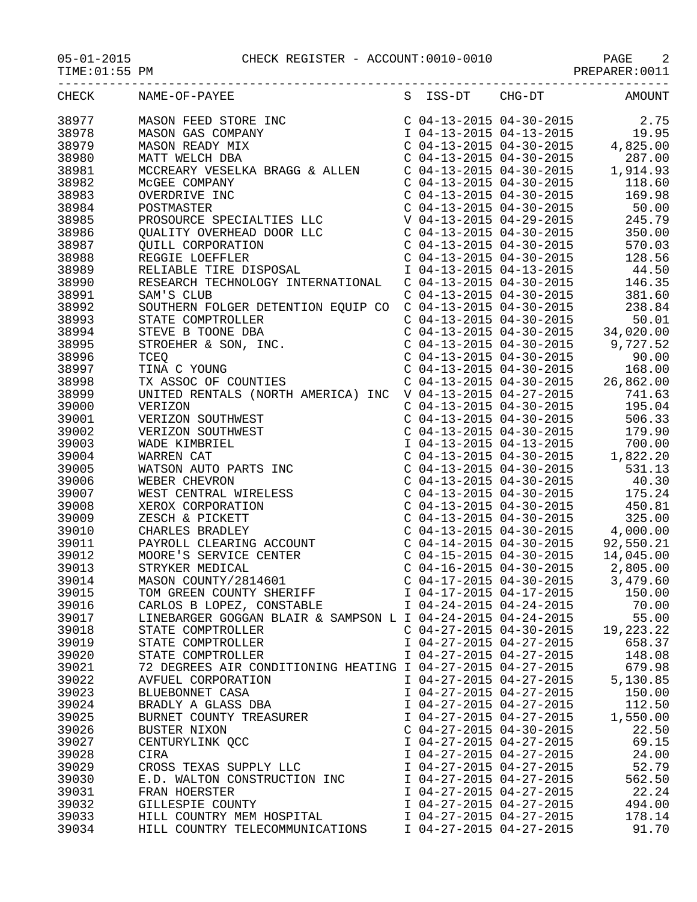## 05-01-2015 CHECK REGISTER - ACCOUNT:0010-0010 PAGE 2

PREPARER:0011

|       | CHECK NAME-OF-PAYEE                                         |                           | S ISS-DT CHG-DT AMOUNT |
|-------|-------------------------------------------------------------|---------------------------|------------------------|
| 38977 |                                                             |                           |                        |
| 38978 |                                                             |                           |                        |
| 38979 |                                                             |                           |                        |
| 38980 |                                                             |                           |                        |
| 38981 |                                                             |                           |                        |
| 38982 |                                                             |                           |                        |
| 38983 |                                                             |                           |                        |
|       |                                                             |                           |                        |
| 38984 |                                                             |                           |                        |
| 38985 |                                                             |                           |                        |
| 38986 |                                                             |                           |                        |
| 38987 |                                                             |                           |                        |
| 38988 |                                                             |                           |                        |
| 38989 |                                                             |                           |                        |
| 38990 |                                                             |                           |                        |
| 38991 |                                                             |                           |                        |
| 38992 |                                                             |                           |                        |
| 38993 |                                                             |                           |                        |
| 38994 |                                                             |                           |                        |
| 38995 |                                                             |                           |                        |
| 38996 |                                                             |                           |                        |
| 38997 |                                                             |                           |                        |
| 38998 |                                                             |                           |                        |
| 38999 |                                                             |                           |                        |
| 39000 |                                                             |                           |                        |
| 39001 |                                                             |                           |                        |
| 39002 |                                                             |                           |                        |
|       |                                                             |                           |                        |
| 39003 |                                                             |                           |                        |
| 39004 |                                                             |                           |                        |
| 39005 |                                                             |                           |                        |
| 39006 |                                                             |                           |                        |
| 39007 |                                                             |                           |                        |
| 39008 |                                                             |                           |                        |
| 39009 |                                                             |                           |                        |
| 39010 |                                                             |                           |                        |
| 39011 |                                                             |                           |                        |
| 39012 |                                                             |                           |                        |
| 39013 |                                                             |                           |                        |
| 39014 |                                                             |                           |                        |
| 39015 | TOM GREEN COUNTY SHERIFF                                    | I 04-17-2015 04-17-2015   | 150.00                 |
| 39016 | CARLOS B LOPEZ, CONSTABLE                                   | I 04-24-2015 04-24-2015   | 70.00                  |
| 39017 | LINEBARGER GOGGAN BLAIR & SAMPSON L I 04-24-2015 04-24-2015 |                           | 55.00                  |
| 39018 | STATE COMPTROLLER                                           | $C$ 04-27-2015 04-30-2015 | 19,223.22              |
| 39019 | STATE COMPTROLLER                                           | I 04-27-2015 04-27-2015   | 658.37                 |
| 39020 | STATE COMPTROLLER                                           | I 04-27-2015 04-27-2015   | 148.08                 |
| 39021 | 72 DEGREES AIR CONDITIONING HEATING I 04-27-2015 04-27-2015 |                           | 679.98                 |
| 39022 | AVFUEL CORPORATION                                          | I 04-27-2015 04-27-2015   | 5,130.85               |
| 39023 | BLUEBONNET CASA                                             | I 04-27-2015 04-27-2015   | 150.00                 |
| 39024 | BRADLY A GLASS DBA                                          | I 04-27-2015 04-27-2015   | 112.50                 |
| 39025 | BURNET COUNTY TREASURER                                     | I 04-27-2015 04-27-2015   | 1,550.00               |
| 39026 |                                                             | $C$ 04-27-2015 04-30-2015 | 22.50                  |
|       | BUSTER NIXON                                                |                           |                        |
| 39027 | CENTURYLINK QCC                                             | I 04-27-2015 04-27-2015   | 69.15                  |
| 39028 | CIRA                                                        | I 04-27-2015 04-27-2015   | 24.00                  |
| 39029 | CROSS TEXAS SUPPLY LLC                                      | I 04-27-2015 04-27-2015   | 52.79                  |
| 39030 | E.D. WALTON CONSTRUCTION INC                                | I 04-27-2015 04-27-2015   | 562.50                 |
| 39031 | FRAN HOERSTER                                               | I 04-27-2015 04-27-2015   | 22.24                  |
| 39032 | GILLESPIE COUNTY                                            | I 04-27-2015 04-27-2015   | 494.00                 |
| 39033 | HILL COUNTRY MEM HOSPITAL                                   | I 04-27-2015 04-27-2015   | 178.14                 |
| 39034 | HILL COUNTRY TELECOMMUNICATIONS 1 04-27-2015 04-27-2015     |                           | 91.70                  |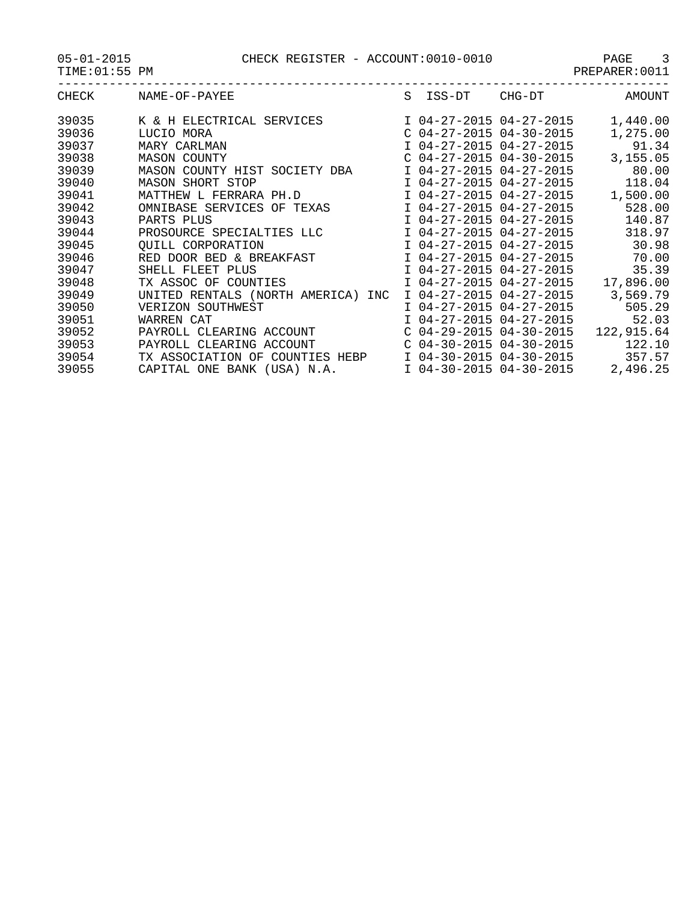05-01-2015 CHECK REGISTER - ACCOUNT:0010-0010 PAGE 3

| $05 - 01 - 2015$ |  |
|------------------|--|
|------------------|--|

| ------------<br>_____ |  | --------       |
|-----------------------|--|----------------|
| TIME:01:55 PM         |  | PREPARER: 0011 |
|                       |  |                |

| CHECK | NAME-OF-PAYEE                      | S | ISS-DT                    | CHG-DT | AMOUNT     |
|-------|------------------------------------|---|---------------------------|--------|------------|
| 39035 | K & H ELECTRICAL SERVICES          |   | I 04-27-2015 04-27-2015   |        | 1,440.00   |
| 39036 | LUCIO MORA                         |   | $C$ 04-27-2015 04-30-2015 |        | 1,275.00   |
| 39037 | MARY CARLMAN                       |   | I 04-27-2015 04-27-2015   |        | 91.34      |
| 39038 | <b>MASON COUNTY</b>                |   | $C$ 04-27-2015 04-30-2015 |        | 3,155.05   |
| 39039 | MASON COUNTY HIST SOCIETY DBA      |   | I 04-27-2015 04-27-2015   |        | 80.00      |
| 39040 | <b>MASON SHORT STOP</b>            |   | I 04-27-2015 04-27-2015   |        | 118.04     |
| 39041 | MATTHEW L FERRARA PH.D             |   | I 04-27-2015 04-27-2015   |        | 1,500.00   |
| 39042 | OMNIBASE SERVICES OF TEXAS         |   | I 04-27-2015 04-27-2015   |        | 528.00     |
| 39043 | PARTS PLUS                         |   | I 04-27-2015 04-27-2015   |        | 140.87     |
| 39044 | PROSOURCE SPECIALTIES LLC          |   | I 04-27-2015 04-27-2015   |        | 318.97     |
| 39045 | <b>QUILL CORPORATION</b>           |   | I 04-27-2015 04-27-2015   |        | 30.98      |
| 39046 | RED DOOR BED & BREAKFAST           |   | I 04-27-2015 04-27-2015   |        | 70.00      |
| 39047 | SHELL FLEET PLUS                   |   | $I$ 04-27-2015 04-27-2015 |        | 35.39      |
| 39048 | TX ASSOC OF COUNTIES               |   | I 04-27-2015 04-27-2015   |        | 17,896.00  |
| 39049 | UNITED RENTALS (NORTH AMERICA) INC |   | I 04-27-2015 04-27-2015   |        | 3,569.79   |
| 39050 | VERIZON SOUTHWEST                  |   | I 04-27-2015 04-27-2015   |        | 505.29     |
| 39051 | WARREN CAT                         |   | I 04-27-2015 04-27-2015   |        | 52.03      |
| 39052 | PAYROLL CLEARING ACCOUNT           |   | $C$ 04-29-2015 04-30-2015 |        | 122,915.64 |
| 39053 | PAYROLL CLEARING ACCOUNT           |   | $C$ 04-30-2015 04-30-2015 |        | 122.10     |
| 39054 | TX ASSOCIATION OF COUNTIES HEBP    |   | I 04-30-2015 04-30-2015   |        | 357.57     |
|       |                                    |   |                           |        |            |

39055 CAPITAL ONE BANK (USA) N.A. I 04-30-2015 04-30-2015 2,496.25